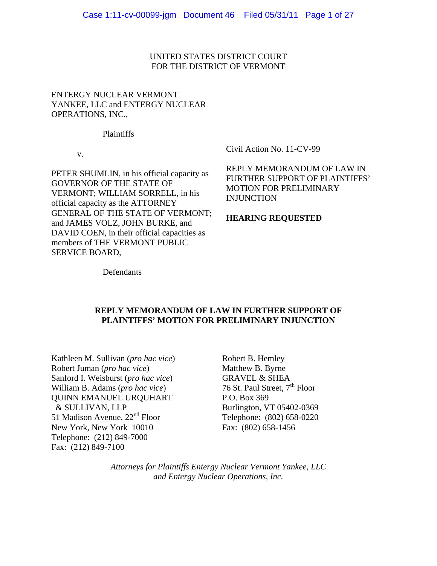UNITED STATES DISTRICT COURT FOR THE DISTRICT OF VERMONT

# ENTERGY NUCLEAR VERMONT YANKEE, LLC and ENTERGY NUCLEAR OPERATIONS, INC.,

Plaintiffs

v.

PETER SHUMLIN, in his official capacity as GOVERNOR OF THE STATE OF VERMONT; WILLIAM SORRELL, in his official capacity as the ATTORNEY GENERAL OF THE STATE OF VERMONT; and JAMES VOLZ, JOHN BURKE, and DAVID COEN, in their official capacities as members of THE VERMONT PUBLIC SERVICE BOARD,

Civil Action No. 11-CV-99

REPLY MEMORANDUM OF LAW IN FURTHER SUPPORT OF PLAINTIFFS' MOTION FOR PRELIMINARY INJUNCTION

### **HEARING REQUESTED**

Defendants

# **REPLY MEMORANDUM OF LAW IN FURTHER SUPPORT OF PLAINTIFFS' MOTION FOR PRELIMINARY INJUNCTION**

Kathleen M. Sullivan (*pro hac vice*) Robert Juman (*pro hac vice*) Sanford I. Weisburst (*pro hac vice*) William B. Adams (*pro hac vice*) QUINN EMANUEL URQUHART & SULLIVAN, LLP 51 Madison Avenue, 22<sup>nd</sup> Floor New York, New York 10010 Telephone: (212) 849-7000 Fax: (212) 849-7100

Robert B. Hemley Matthew B. Byrne GRAVEL & SHEA 76 St. Paul Street, 7<sup>th</sup> Floor P.O. Box 369 Burlington, VT 05402-0369 Telephone: (802) 658-0220 Fax: (802) 658-1456

*Attorneys for Plaintiffs Entergy Nuclear Vermont Yankee, LLC and Entergy Nuclear Operations, Inc.*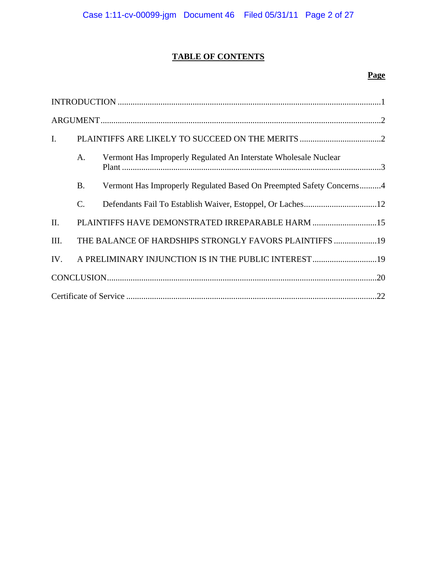# **TABLE OF CONTENTS**

# **Page**

| $I_{\cdot}$ |           |                                                                      |  |  |
|-------------|-----------|----------------------------------------------------------------------|--|--|
|             | A.        | Vermont Has Improperly Regulated An Interstate Wholesale Nuclear     |  |  |
|             | <b>B.</b> | Vermont Has Improperly Regulated Based On Preempted Safety Concerns4 |  |  |
|             | $C$ .     |                                                                      |  |  |
| II.         |           | PLAINTIFFS HAVE DEMONSTRATED IRREPARABLE HARM 15                     |  |  |
| III.        |           | THE BALANCE OF HARDSHIPS STRONGLY FAVORS PLAINTIFFS 19               |  |  |
| IV.         |           | A PRELIMINARY INJUNCTION IS IN THE PUBLIC INTEREST 19                |  |  |
|             |           |                                                                      |  |  |
|             |           |                                                                      |  |  |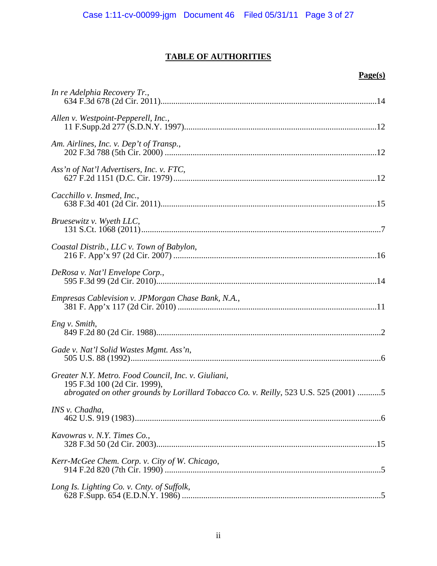# **TABLE OF AUTHORITIES**

# **Page(s)**

| In re Adelphia Recovery Tr.,                                                                                                                                                |
|-----------------------------------------------------------------------------------------------------------------------------------------------------------------------------|
| Allen v. Westpoint-Pepperell, Inc.,                                                                                                                                         |
| Am. Airlines, Inc. v. Dep't of Transp.,                                                                                                                                     |
| Ass'n of Nat'l Advertisers, Inc. v. FTC,                                                                                                                                    |
| Cacchillo v. Insmed, Inc.,                                                                                                                                                  |
| Bruesewitz v. Wyeth LLC,                                                                                                                                                    |
| Coastal Distrib., LLC v. Town of Babylon,                                                                                                                                   |
| DeRosa v. Nat'l Envelope Corp.,                                                                                                                                             |
| Empresas Cablevision v. JPMorgan Chase Bank, N.A.,<br>presas Cablevision v. JPMorgan Chase Bank, N.A.,<br>381 F. App'x 117 (2d Cir. 2010) …………………………………………………………………………………11 |
| Eng v. Smith,                                                                                                                                                               |
|                                                                                                                                                                             |
| Greater N.Y. Metro. Food Council, Inc. v. Giuliani,<br>195 F.3d 100 (2d Cir. 1999),<br>abrogated on other grounds by Lorillard Tobacco Co. v. Reilly, 523 U.S. 525 (2001) 5 |
| INS v. Chadha,                                                                                                                                                              |
| Kavowras v. N.Y. Times Co.,                                                                                                                                                 |
| Kerr-McGee Chem. Corp. v. City of W. Chicago,                                                                                                                               |
| Long Is. Lighting Co. v. Cnty. of Suffolk,                                                                                                                                  |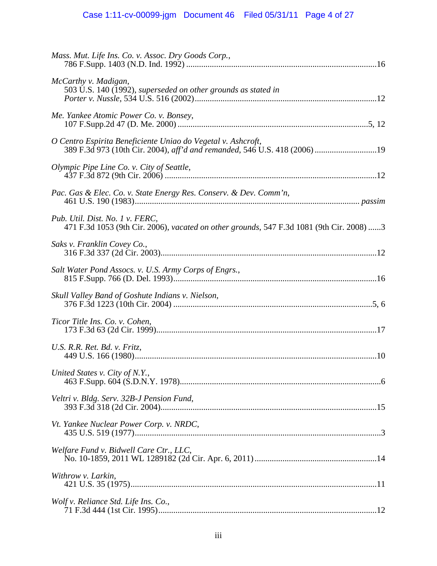| Mass. Mut. Life Ins. Co. v. Assoc. Dry Goods Corp.,                                                                                       |
|-------------------------------------------------------------------------------------------------------------------------------------------|
| McCarthy v. Madigan,<br>503 U.S. 140 (1992), superseded on other grounds as stated in                                                     |
| Me. Yankee Atomic Power Co. v. Bonsey,                                                                                                    |
| O Centro Espirita Beneficiente Uniao do Vegetal v. Ashcroft,<br>389 F.3d 973 (10th Cir. 2004), aff'd and remanded, 546 U.S. 418 (2006) 19 |
| Olympic Pipe Line Co. v. City of Seattle,                                                                                                 |
| Pac. Gas & Elec. Co. v. State Energy Res. Conserv. & Dev. Comm'n,                                                                         |
| Pub. Util. Dist. No. 1 v. FERC,<br>471 F.3d 1053 (9th Cir. 2006), vacated on other grounds, 547 F.3d 1081 (9th Cir. 2008) 3               |
| Saks v. Franklin Covey Co.,                                                                                                               |
| Salt Water Pond Assocs. v. U.S. Army Corps of Engrs.,                                                                                     |
| Skull Valley Band of Goshute Indians v. Nielson,                                                                                          |
| Ticor Title Ins. Co. v. Cohen,                                                                                                            |
| U.S. R.R. Ret. Bd. v. Fritz,                                                                                                              |
| United States v. City of N.Y.,                                                                                                            |
| Veltri v. Bldg. Serv. 32B-J Pension Fund,                                                                                                 |
| Vt. Yankee Nuclear Power Corp. v. NRDC,                                                                                                   |
| Welfare Fund v. Bidwell Care Ctr., LLC,                                                                                                   |
| Withrow v. Larkin,                                                                                                                        |
| Wolf v. Reliance Std. Life Ins. Co.,                                                                                                      |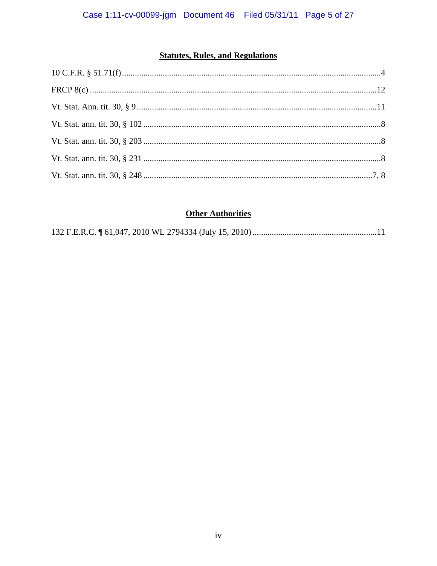# **Statutes, Rules, and Regulations**

# **Other Authorities**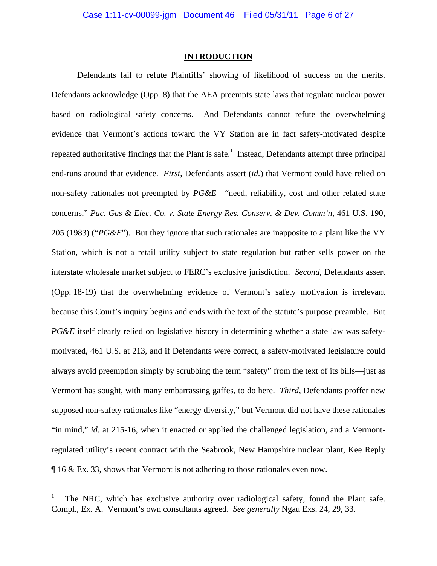### **INTRODUCTION**

Defendants fail to refute Plaintiffs' showing of likelihood of success on the merits. Defendants acknowledge (Opp. 8) that the AEA preempts state laws that regulate nuclear power based on radiological safety concerns. And Defendants cannot refute the overwhelming evidence that Vermont's actions toward the VY Station are in fact safety-motivated despite repeated authoritative findings that the Plant is safe.<sup>1</sup> Instead, Defendants attempt three principal end-runs around that evidence. *First*, Defendants assert (*id.*) that Vermont could have relied on non-safety rationales not preempted by *PG&E*—"need, reliability, cost and other related state concerns," *Pac. Gas & Elec. Co. v. State Energy Res. Conserv. & Dev. Comm'n*, 461 U.S. 190, 205 (1983) ("*PG&E*"). But they ignore that such rationales are inapposite to a plant like the VY Station, which is not a retail utility subject to state regulation but rather sells power on the interstate wholesale market subject to FERC's exclusive jurisdiction. *Second*, Defendants assert (Opp. 18-19) that the overwhelming evidence of Vermont's safety motivation is irrelevant because this Court's inquiry begins and ends with the text of the statute's purpose preamble. But *PG&E* itself clearly relied on legislative history in determining whether a state law was safetymotivated, 461 U.S. at 213, and if Defendants were correct, a safety-motivated legislature could always avoid preemption simply by scrubbing the term "safety" from the text of its bills—just as Vermont has sought, with many embarrassing gaffes, to do here. *Third*, Defendants proffer new supposed non-safety rationales like "energy diversity," but Vermont did not have these rationales "in mind," *id.* at 215-16, when it enacted or applied the challenged legislation, and a Vermontregulated utility's recent contract with the Seabrook, New Hampshire nuclear plant, Kee Reply ¶ 16 & Ex. 33, shows that Vermont is not adhering to those rationales even now.

 $\overline{a}$ 

<sup>1</sup> The NRC, which has exclusive authority over radiological safety, found the Plant safe. Compl., Ex. A. Vermont's own consultants agreed. *See generally* Ngau Exs. 24, 29, 33.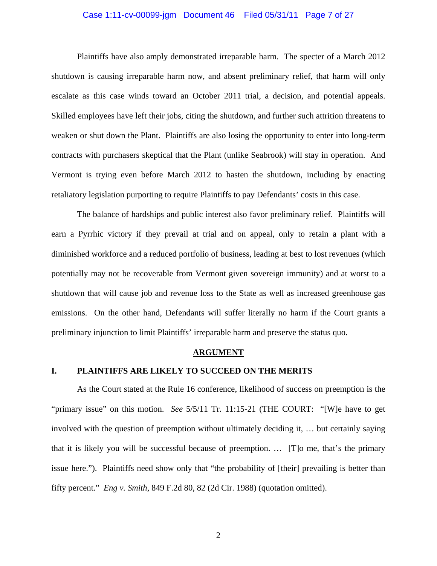### Case 1:11-cv-00099-jgm Document 46 Filed 05/31/11 Page 7 of 27

Plaintiffs have also amply demonstrated irreparable harm. The specter of a March 2012 shutdown is causing irreparable harm now, and absent preliminary relief, that harm will only escalate as this case winds toward an October 2011 trial, a decision, and potential appeals. Skilled employees have left their jobs, citing the shutdown, and further such attrition threatens to weaken or shut down the Plant. Plaintiffs are also losing the opportunity to enter into long-term contracts with purchasers skeptical that the Plant (unlike Seabrook) will stay in operation. And Vermont is trying even before March 2012 to hasten the shutdown, including by enacting retaliatory legislation purporting to require Plaintiffs to pay Defendants' costs in this case.

The balance of hardships and public interest also favor preliminary relief. Plaintiffs will earn a Pyrrhic victory if they prevail at trial and on appeal, only to retain a plant with a diminished workforce and a reduced portfolio of business, leading at best to lost revenues (which potentially may not be recoverable from Vermont given sovereign immunity) and at worst to a shutdown that will cause job and revenue loss to the State as well as increased greenhouse gas emissions. On the other hand, Defendants will suffer literally no harm if the Court grants a preliminary injunction to limit Plaintiffs' irreparable harm and preserve the status quo.

### **ARGUMENT**

## **I. PLAINTIFFS ARE LIKELY TO SUCCEED ON THE MERITS**

As the Court stated at the Rule 16 conference, likelihood of success on preemption is the "primary issue" on this motion. *See* 5/5/11 Tr. 11:15-21 (THE COURT: "[W]e have to get involved with the question of preemption without ultimately deciding it, … but certainly saying that it is likely you will be successful because of preemption. … [T]o me, that's the primary issue here."). Plaintiffs need show only that "the probability of [their] prevailing is better than fifty percent." *Eng v. Smith*, 849 F.2d 80, 82 (2d Cir. 1988) (quotation omitted).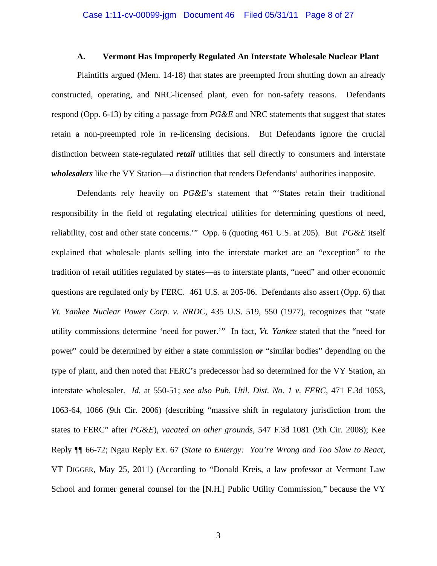### **A. Vermont Has Improperly Regulated An Interstate Wholesale Nuclear Plant**

Plaintiffs argued (Mem. 14-18) that states are preempted from shutting down an already constructed, operating, and NRC-licensed plant, even for non-safety reasons. Defendants respond (Opp. 6-13) by citing a passage from *PG&E* and NRC statements that suggest that states retain a non-preempted role in re-licensing decisions. But Defendants ignore the crucial distinction between state-regulated *retail* utilities that sell directly to consumers and interstate *wholesalers* like the VY Station—a distinction that renders Defendants' authorities inapposite.

Defendants rely heavily on *PG&E*'s statement that "'States retain their traditional responsibility in the field of regulating electrical utilities for determining questions of need, reliability, cost and other state concerns.'" Opp. 6 (quoting 461 U.S. at 205). But *PG&E* itself explained that wholesale plants selling into the interstate market are an "exception" to the tradition of retail utilities regulated by states—as to interstate plants, "need" and other economic questions are regulated only by FERC. 461 U.S. at 205-06. Defendants also assert (Opp. 6) that *Vt. Yankee Nuclear Power Corp. v. NRDC*, 435 U.S. 519, 550 (1977), recognizes that "state utility commissions determine 'need for power.'" In fact, *Vt. Yankee* stated that the "need for power" could be determined by either a state commission *or* "similar bodies" depending on the type of plant, and then noted that FERC's predecessor had so determined for the VY Station, an interstate wholesaler. *Id.* at 550-51; *see also Pub. Util. Dist. No. 1 v. FERC*, 471 F.3d 1053, 1063-64, 1066 (9th Cir. 2006) (describing "massive shift in regulatory jurisdiction from the states to FERC" after *PG&E*), *vacated on other grounds*, 547 F.3d 1081 (9th Cir. 2008); Kee Reply ¶¶ 66-72; Ngau Reply Ex. 67 (*State to Entergy: You're Wrong and Too Slow to React*, VT DIGGER, May 25, 2011) (According to "Donald Kreis, a law professor at Vermont Law School and former general counsel for the [N.H.] Public Utility Commission," because the VY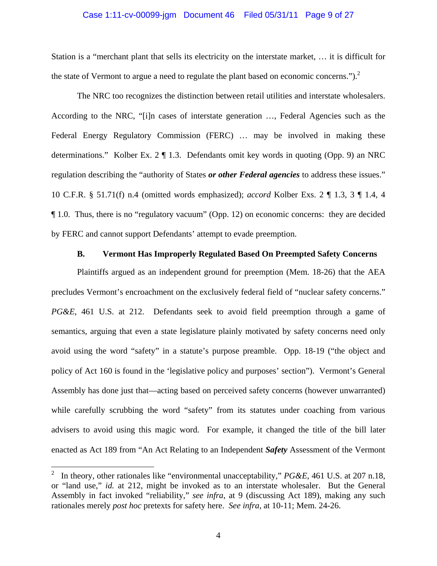### Case 1:11-cv-00099-jgm Document 46 Filed 05/31/11 Page 9 of 27

Station is a "merchant plant that sells its electricity on the interstate market, … it is difficult for the state of Vermont to argue a need to regulate the plant based on economic concerns." $)^2$ .

The NRC too recognizes the distinction between retail utilities and interstate wholesalers. According to the NRC, "[i]n cases of interstate generation …, Federal Agencies such as the Federal Energy Regulatory Commission (FERC) … may be involved in making these determinations."Kolber Ex. 2 ¶ 1.3. Defendants omit key words in quoting (Opp. 9) an NRC regulation describing the "authority of States *or other Federal agencies* to address these issues." 10 C.F.R. § 51.71(f) n.4 (omitted words emphasized); *accord* Kolber Exs. 2 ¶ 1.3, 3 ¶ 1.4, 4 ¶ 1.0. Thus, there is no "regulatory vacuum" (Opp. 12) on economic concerns: they are decided by FERC and cannot support Defendants' attempt to evade preemption.

## **B. Vermont Has Improperly Regulated Based On Preempted Safety Concerns**

Plaintiffs argued as an independent ground for preemption (Mem. 18-26) that the AEA precludes Vermont's encroachment on the exclusively federal field of "nuclear safety concerns." *PG&E*, 461 U.S. at 212. Defendants seek to avoid field preemption through a game of semantics, arguing that even a state legislature plainly motivated by safety concerns need only avoid using the word "safety" in a statute's purpose preamble. Opp. 18-19 ("the object and policy of Act 160 is found in the 'legislative policy and purposes' section"). Vermont's General Assembly has done just that—acting based on perceived safety concerns (however unwarranted) while carefully scrubbing the word "safety" from its statutes under coaching from various advisers to avoid using this magic word. For example, it changed the title of the bill later enacted as Act 189 from "An Act Relating to an Independent *Safety* Assessment of the Vermont

<sup>2</sup> In theory, other rationales like "environmental unacceptability," *PG&E*, 461 U.S. at 207 n.18, or "land use," *id.* at 212, might be invoked as to an interstate wholesaler. But the General Assembly in fact invoked "reliability," *see infra*, at 9 (discussing Act 189), making any such rationales merely *post hoc* pretexts for safety here. *See infra*, at 10-11; Mem. 24-26.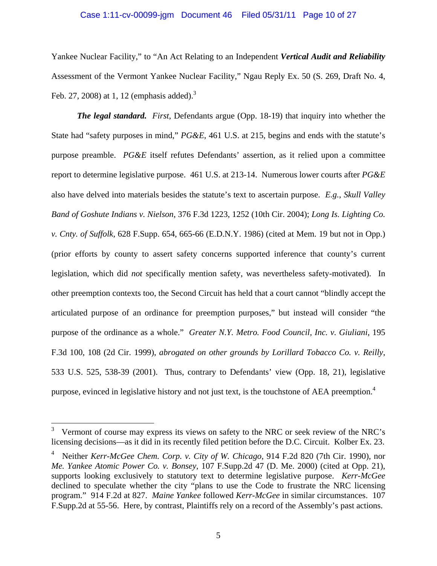# Case 1:11-cv-00099-jgm Document 46 Filed 05/31/11 Page 10 of 27

Yankee Nuclear Facility," to "An Act Relating to an Independent *Vertical Audit and Reliability* Assessment of the Vermont Yankee Nuclear Facility," Ngau Reply Ex. 50 (S. 269, Draft No. 4, Feb. 27, 2008) at 1, 12 (emphasis added).<sup>3</sup>

*The legal standard. First*, Defendants argue (Opp. 18-19) that inquiry into whether the State had "safety purposes in mind," *PG&E*, 461 U.S. at 215, begins and ends with the statute's purpose preamble. *PG&E* itself refutes Defendants' assertion, as it relied upon a committee report to determine legislative purpose. 461 U.S. at 213-14. Numerous lower courts after *PG&E* also have delved into materials besides the statute's text to ascertain purpose. *E.g.*, *Skull Valley Band of Goshute Indians v. Nielson*, 376 F.3d 1223, 1252 (10th Cir. 2004); *Long Is. Lighting Co. v. Cnty. of Suffolk*, 628 F.Supp. 654, 665-66 (E.D.N.Y. 1986) (cited at Mem. 19 but not in Opp.) (prior efforts by county to assert safety concerns supported inference that county's current legislation, which did *not* specifically mention safety, was nevertheless safety-motivated). In other preemption contexts too, the Second Circuit has held that a court cannot "blindly accept the articulated purpose of an ordinance for preemption purposes," but instead will consider "the purpose of the ordinance as a whole." *Greater N.Y. Metro. Food Council, Inc. v. Giuliani*, 195 F.3d 100, 108 (2d Cir. 1999), *abrogated on other grounds by Lorillard Tobacco Co. v. Reilly*, 533 U.S. 525, 538-39 (2001). Thus, contrary to Defendants' view (Opp. 18, 21), legislative purpose, evinced in legislative history and not just text, is the touchstone of AEA preemption.<sup>4</sup>

<sup>3</sup> Vermont of course may express its views on safety to the NRC or seek review of the NRC's licensing decisions—as it did in its recently filed petition before the D.C. Circuit. Kolber Ex. 23.

<sup>4</sup> Neither *Kerr-McGee Chem. Corp. v. City of W. Chicago*, 914 F.2d 820 (7th Cir. 1990), nor *Me. Yankee Atomic Power Co. v. Bonsey*, 107 F.Supp.2d 47 (D. Me. 2000) (cited at Opp. 21), supports looking exclusively to statutory text to determine legislative purpose. *Kerr-McGee* declined to speculate whether the city "plans to use the Code to frustrate the NRC licensing program." 914 F.2d at 827. *Maine Yankee* followed *Kerr-McGee* in similar circumstances. 107 F.Supp.2d at 55-56. Here, by contrast, Plaintiffs rely on a record of the Assembly's past actions.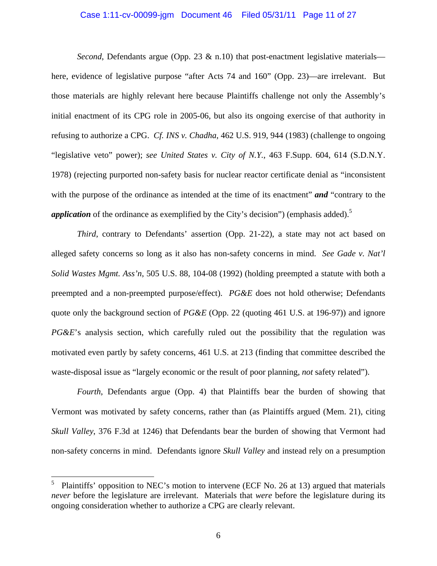### Case 1:11-cv-00099-jgm Document 46 Filed 05/31/11 Page 11 of 27

*Second*, Defendants argue (Opp. 23  $\&$  n.10) that post-enactment legislative materials here, evidence of legislative purpose "after Acts 74 and 160" (Opp. 23)—are irrelevant. But those materials are highly relevant here because Plaintiffs challenge not only the Assembly's initial enactment of its CPG role in 2005-06, but also its ongoing exercise of that authority in refusing to authorize a CPG. *Cf. INS v. Chadha*, 462 U.S. 919, 944 (1983) (challenge to ongoing "legislative veto" power); *see United States v. City of N.Y.*, 463 F.Supp. 604, 614 (S.D.N.Y. 1978) (rejecting purported non-safety basis for nuclear reactor certificate denial as "inconsistent with the purpose of the ordinance as intended at the time of its enactment" **and** "contrary to the *application* of the ordinance as exemplified by the City's decision") (emphasis added).<sup>5</sup>

*Third*, contrary to Defendants' assertion (Opp. 21-22), a state may not act based on alleged safety concerns so long as it also has non-safety concerns in mind. *See Gade v. Nat'l Solid Wastes Mgmt. Ass'n*, 505 U.S. 88, 104-08 (1992) (holding preempted a statute with both a preempted and a non-preempted purpose/effect). *PG&E* does not hold otherwise; Defendants quote only the background section of *PG&E* (Opp. 22 (quoting 461 U.S. at 196-97)) and ignore *PG&E*'s analysis section, which carefully ruled out the possibility that the regulation was motivated even partly by safety concerns, 461 U.S. at 213 (finding that committee described the waste-disposal issue as "largely economic or the result of poor planning, *not* safety related").

*Fourth*, Defendants argue (Opp. 4) that Plaintiffs bear the burden of showing that Vermont was motivated by safety concerns, rather than (as Plaintiffs argued (Mem. 21), citing *Skull Valley*, 376 F.3d at 1246) that Defendants bear the burden of showing that Vermont had non-safety concerns in mind. Defendants ignore *Skull Valley* and instead rely on a presumption

<sup>5</sup> Plaintiffs' opposition to NEC's motion to intervene (ECF No. 26 at 13) argued that materials *never* before the legislature are irrelevant. Materials that *were* before the legislature during its ongoing consideration whether to authorize a CPG are clearly relevant.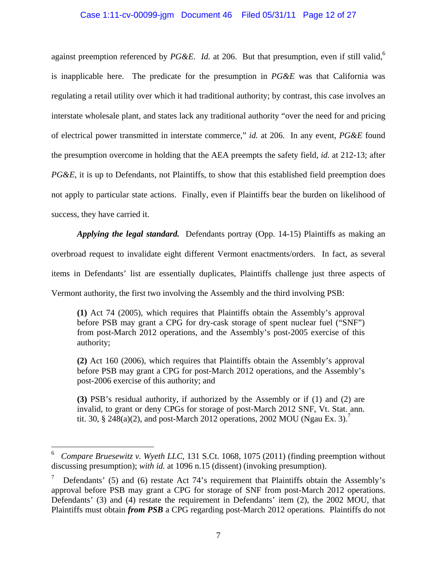# Case 1:11-cv-00099-jgm Document 46 Filed 05/31/11 Page 12 of 27

against preemption referenced by PG&E. *Id.* at 206. But that presumption, even if still valid,<sup>6</sup> is inapplicable here. The predicate for the presumption in *PG&E* was that California was regulating a retail utility over which it had traditional authority; by contrast, this case involves an interstate wholesale plant, and states lack any traditional authority "over the need for and pricing of electrical power transmitted in interstate commerce," *id.* at 206. In any event, *PG&E* found the presumption overcome in holding that the AEA preempts the safety field, *id.* at 212-13; after *PG&E*, it is up to Defendants, not Plaintiffs, to show that this established field preemption does not apply to particular state actions. Finally, even if Plaintiffs bear the burden on likelihood of success, they have carried it.

*Applying the legal standard.* Defendants portray (Opp. 14-15) Plaintiffs as making an overbroad request to invalidate eight different Vermont enactments/orders. In fact, as several items in Defendants' list are essentially duplicates, Plaintiffs challenge just three aspects of Vermont authority, the first two involving the Assembly and the third involving PSB:

**(1)** Act 74 (2005), which requires that Plaintiffs obtain the Assembly's approval before PSB may grant a CPG for dry-cask storage of spent nuclear fuel ("SNF") from post-March 2012 operations, and the Assembly's post-2005 exercise of this authority;

**(2)** Act 160 (2006), which requires that Plaintiffs obtain the Assembly's approval before PSB may grant a CPG for post-March 2012 operations, and the Assembly's post-2006 exercise of this authority; and

**(3)** PSB's residual authority, if authorized by the Assembly or if (1) and (2) are invalid, to grant or deny CPGs for storage of post-March 2012 SNF, Vt. Stat. ann. tit. 30, § 248(a)(2), and post-March 2012 operations, 2002 MOU (Ngau Ex. 3).<sup>7</sup>

<u>.</u>

<sup>6</sup> *Compare Bruesewitz v. Wyeth LLC*, 131 S.Ct. 1068, 1075 (2011) (finding preemption without discussing presumption); *with id.* at 1096 n.15 (dissent) (invoking presumption).

<sup>7</sup> Defendants' (5) and (6) restate Act 74's requirement that Plaintiffs obtain the Assembly's approval before PSB may grant a CPG for storage of SNF from post-March 2012 operations. Defendants' (3) and (4) restate the requirement in Defendants' item (2), the 2002 MOU, that Plaintiffs must obtain *from PSB* a CPG regarding post-March 2012 operations. Plaintiffs do not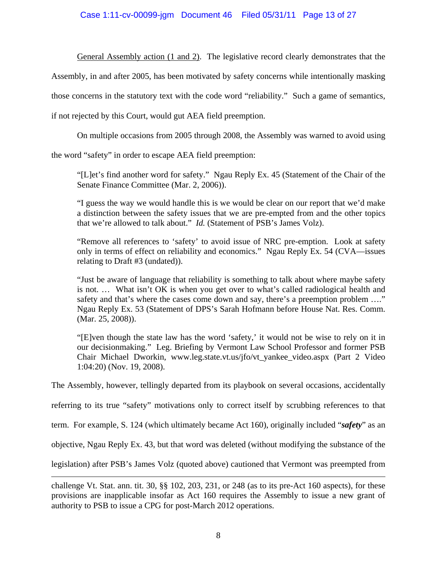# Case 1:11-cv-00099-jgm Document 46 Filed 05/31/11 Page 13 of 27

General Assembly action (1 and 2). The legislative record clearly demonstrates that the

Assembly, in and after 2005, has been motivated by safety concerns while intentionally masking

those concerns in the statutory text with the code word "reliability." Such a game of semantics,

if not rejected by this Court, would gut AEA field preemption.

On multiple occasions from 2005 through 2008, the Assembly was warned to avoid using

the word "safety" in order to escape AEA field preemption:

 $\overline{a}$ 

"[L]et's find another word for safety." Ngau Reply Ex. 45 (Statement of the Chair of the Senate Finance Committee (Mar. 2, 2006)).

"I guess the way we would handle this is we would be clear on our report that we'd make a distinction between the safety issues that we are pre-empted from and the other topics that we're allowed to talk about." *Id.* (Statement of PSB's James Volz).

"Remove all references to 'safety' to avoid issue of NRC pre-emption. Look at safety only in terms of effect on reliability and economics." Ngau Reply Ex. 54 (CVA—issues relating to Draft #3 (undated)).

"Just be aware of language that reliability is something to talk about where maybe safety is not. … What isn't OK is when you get over to what's called radiological health and safety and that's where the cases come down and say, there's a preemption problem …." Ngau Reply Ex. 53 (Statement of DPS's Sarah Hofmann before House Nat. Res. Comm. (Mar. 25, 2008)).

"[E]ven though the state law has the word 'safety,' it would not be wise to rely on it in our decisionmaking." Leg. Briefing by Vermont Law School Professor and former PSB Chair Michael Dworkin, www.leg.state.vt.us/jfo/vt\_yankee\_video.aspx (Part 2 Video 1:04:20) (Nov. 19, 2008).

The Assembly, however, tellingly departed from its playbook on several occasions, accidentally

referring to its true "safety" motivations only to correct itself by scrubbing references to that

term. For example, S. 124 (which ultimately became Act 160), originally included "*safety*" as an

objective, Ngau Reply Ex. 43, but that word was deleted (without modifying the substance of the

legislation) after PSB's James Volz (quoted above) cautioned that Vermont was preempted from

challenge Vt. Stat. ann. tit. 30, §§ 102, 203, 231, or 248 (as to its pre-Act 160 aspects), for these provisions are inapplicable insofar as Act 160 requires the Assembly to issue a new grant of authority to PSB to issue a CPG for post-March 2012 operations.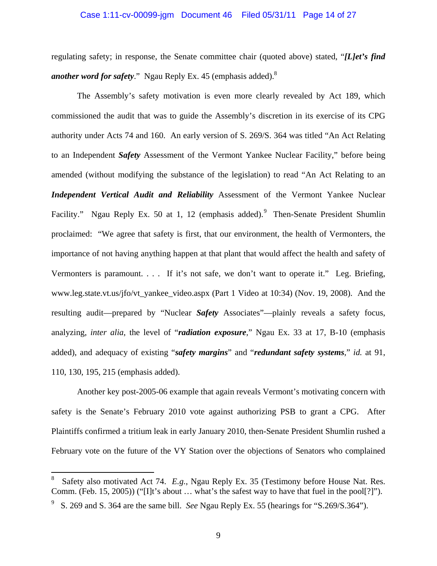# Case 1:11-cv-00099-jgm Document 46 Filed 05/31/11 Page 14 of 27

regulating safety; in response, the Senate committee chair (quoted above) stated, "*[L]et's find another word for safety*." Ngau Reply Ex. 45 (emphasis added).8

The Assembly's safety motivation is even more clearly revealed by Act 189, which commissioned the audit that was to guide the Assembly's discretion in its exercise of its CPG authority under Acts 74 and 160. An early version of S. 269/S. 364 was titled "An Act Relating to an Independent *Safety* Assessment of the Vermont Yankee Nuclear Facility," before being amended (without modifying the substance of the legislation) to read "An Act Relating to an *Independent Vertical Audit and Reliability* Assessment of the Vermont Yankee Nuclear Facility." Ngau Reply Ex. 50 at 1, 12 (emphasis added). Then-Senate President Shumlin proclaimed: "We agree that safety is first, that our environment, the health of Vermonters, the importance of not having anything happen at that plant that would affect the health and safety of Vermonters is paramount. . . . If it's not safe, we don't want to operate it." Leg. Briefing, www.leg.state.vt.us/jfo/vt\_yankee\_video.aspx (Part 1 Video at 10:34) (Nov. 19, 2008). And the resulting audit—prepared by "Nuclear *Safety* Associates"—plainly reveals a safety focus, analyzing, *inter alia*, the level of "*radiation exposure*," Ngau Ex. 33 at 17, B-10 (emphasis added), and adequacy of existing "*safety margins*" and "*redundant safety systems*," *id.* at 91, 110, 130, 195, 215 (emphasis added).

Another key post-2005-06 example that again reveals Vermont's motivating concern with safety is the Senate's February 2010 vote against authorizing PSB to grant a CPG. After Plaintiffs confirmed a tritium leak in early January 2010, then-Senate President Shumlin rushed a February vote on the future of the VY Station over the objections of Senators who complained

 $\overline{a}$ 

<sup>8</sup> Safety also motivated Act 74. *E.g.*, Ngau Reply Ex. 35 (Testimony before House Nat. Res. Comm. (Feb. 15, 2005)) ("[I]t's about … what's the safest way to have that fuel in the pool[?]").

<sup>9</sup> S. 269 and S. 364 are the same bill. *See* Ngau Reply Ex. 55 (hearings for "S.269/S.364").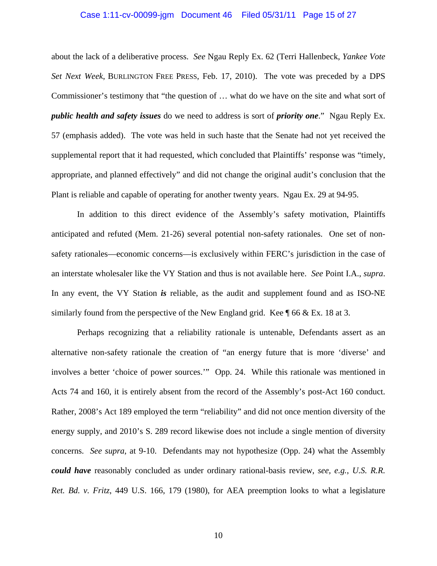### Case 1:11-cv-00099-jgm Document 46 Filed 05/31/11 Page 15 of 27

about the lack of a deliberative process. *See* Ngau Reply Ex. 62 (Terri Hallenbeck, *Yankee Vote Set Next Week*, BURLINGTON FREE PRESS, Feb. 17, 2010). The vote was preceded by a DPS Commissioner's testimony that "the question of … what do we have on the site and what sort of *public health and safety issues* do we need to address is sort of *priority one*." Ngau Reply Ex. 57 (emphasis added). The vote was held in such haste that the Senate had not yet received the supplemental report that it had requested, which concluded that Plaintiffs' response was "timely, appropriate, and planned effectively" and did not change the original audit's conclusion that the Plant is reliable and capable of operating for another twenty years. Ngau Ex. 29 at 94-95.

In addition to this direct evidence of the Assembly's safety motivation, Plaintiffs anticipated and refuted (Mem. 21-26) several potential non-safety rationales. One set of nonsafety rationales—economic concerns—is exclusively within FERC's jurisdiction in the case of an interstate wholesaler like the VY Station and thus is not available here. *See* Point I.A., *supra*. In any event, the VY Station *is* reliable, as the audit and supplement found and as ISO-NE similarly found from the perspective of the New England grid. Kee  $\parallel$  66 & Ex. 18 at 3.

Perhaps recognizing that a reliability rationale is untenable, Defendants assert as an alternative non-safety rationale the creation of "an energy future that is more 'diverse' and involves a better 'choice of power sources.'" Opp. 24. While this rationale was mentioned in Acts 74 and 160, it is entirely absent from the record of the Assembly's post-Act 160 conduct. Rather, 2008's Act 189 employed the term "reliability" and did not once mention diversity of the energy supply, and 2010's S. 289 record likewise does not include a single mention of diversity concerns. *See supra*, at 9-10. Defendants may not hypothesize (Opp. 24) what the Assembly *could have* reasonably concluded as under ordinary rational-basis review, *see, e.g.*, *U.S. R.R. Ret. Bd. v. Fritz*, 449 U.S. 166, 179 (1980), for AEA preemption looks to what a legislature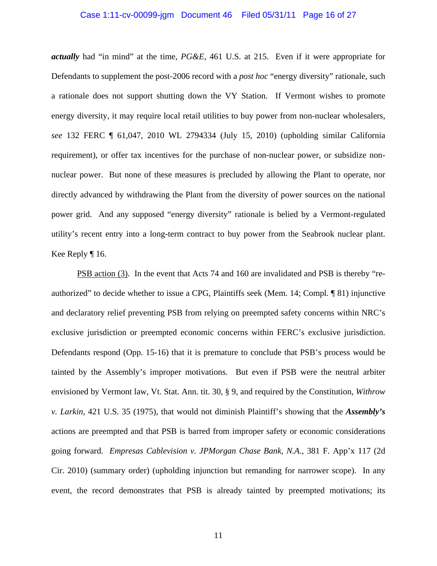### Case 1:11-cv-00099-jgm Document 46 Filed 05/31/11 Page 16 of 27

*actually* had "in mind" at the time, *PG&E*, 461 U.S. at 215. Even if it were appropriate for Defendants to supplement the post-2006 record with a *post hoc* "energy diversity" rationale, such a rationale does not support shutting down the VY Station. If Vermont wishes to promote energy diversity, it may require local retail utilities to buy power from non-nuclear wholesalers, *see* 132 FERC ¶ 61,047, 2010 WL 2794334 (July 15, 2010) (upholding similar California requirement), or offer tax incentives for the purchase of non-nuclear power, or subsidize nonnuclear power. But none of these measures is precluded by allowing the Plant to operate, nor directly advanced by withdrawing the Plant from the diversity of power sources on the national power grid. And any supposed "energy diversity" rationale is belied by a Vermont-regulated utility's recent entry into a long-term contract to buy power from the Seabrook nuclear plant. Kee Reply ¶ 16.

PSB action (3). In the event that Acts 74 and 160 are invalidated and PSB is thereby "reauthorized" to decide whether to issue a CPG, Plaintiffs seek (Mem. 14; Compl. ¶ 81) injunctive and declaratory relief preventing PSB from relying on preempted safety concerns within NRC's exclusive jurisdiction or preempted economic concerns within FERC's exclusive jurisdiction. Defendants respond (Opp. 15-16) that it is premature to conclude that PSB's process would be tainted by the Assembly's improper motivations. But even if PSB were the neutral arbiter envisioned by Vermont law, Vt. Stat. Ann. tit. 30, § 9, and required by the Constitution, *Withrow v. Larkin*, 421 U.S. 35 (1975), that would not diminish Plaintiff's showing that the *Assembly's* actions are preempted and that PSB is barred from improper safety or economic considerations going forward. *Empresas Cablevision v. JPMorgan Chase Bank, N.A.*, 381 F. App'x 117 (2d Cir. 2010) (summary order) (upholding injunction but remanding for narrower scope). In any event, the record demonstrates that PSB is already tainted by preempted motivations; its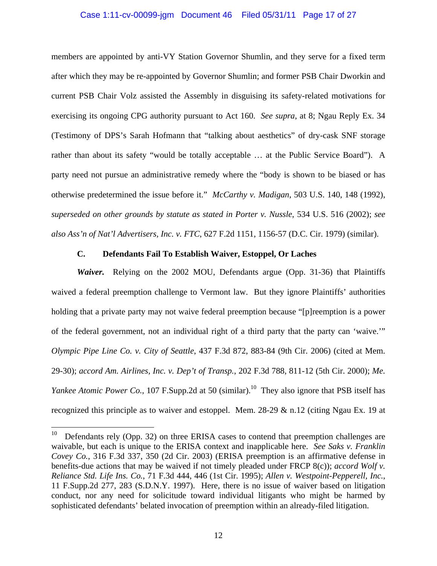# Case 1:11-cv-00099-jgm Document 46 Filed 05/31/11 Page 17 of 27

members are appointed by anti-VY Station Governor Shumlin, and they serve for a fixed term after which they may be re-appointed by Governor Shumlin; and former PSB Chair Dworkin and current PSB Chair Volz assisted the Assembly in disguising its safety-related motivations for exercising its ongoing CPG authority pursuant to Act 160. *See supra*, at 8; Ngau Reply Ex. 34 (Testimony of DPS's Sarah Hofmann that "talking about aesthetics" of dry-cask SNF storage rather than about its safety "would be totally acceptable … at the Public Service Board"). A party need not pursue an administrative remedy where the "body is shown to be biased or has otherwise predetermined the issue before it." *McCarthy v. Madigan*, 503 U.S. 140, 148 (1992), *superseded on other grounds by statute as stated in Porter v. Nussle*, 534 U.S. 516 (2002); *see also Ass'n of Nat'l Advertisers, Inc. v. FTC*, 627 F.2d 1151, 1156-57 (D.C. Cir. 1979) (similar).

## **C. Defendants Fail To Establish Waiver, Estoppel, Or Laches**

*Waiver.* Relying on the 2002 MOU, Defendants argue (Opp. 31-36) that Plaintiffs waived a federal preemption challenge to Vermont law. But they ignore Plaintiffs' authorities holding that a private party may not waive federal preemption because "[p]reemption is a power of the federal government, not an individual right of a third party that the party can 'waive.'" *Olympic Pipe Line Co. v. City of Seattle*, 437 F.3d 872, 883-84 (9th Cir. 2006) (cited at Mem. 29-30); *accord Am. Airlines, Inc. v. Dep't of Transp.*, 202 F.3d 788, 811-12 (5th Cir. 2000); *Me. Yankee Atomic Power Co.*, 107 F.Supp.2d at 50 (similar).<sup>10</sup> They also ignore that PSB itself has recognized this principle as to waiver and estoppel. Mem. 28-29 & n.12 (citing Ngau Ex. 19 at

 $\overline{a}$ 

Defendants rely (Opp. 32) on three ERISA cases to contend that preemption challenges are waivable, but each is unique to the ERISA context and inapplicable here. *See Saks v. Franklin Covey Co.*, 316 F.3d 337, 350 (2d Cir. 2003) (ERISA preemption is an affirmative defense in benefits-due actions that may be waived if not timely pleaded under FRCP 8(c)); *accord Wolf v. Reliance Std. Life Ins. Co.*, 71 F.3d 444, 446 (1st Cir. 1995); *Allen v. Westpoint-Pepperell, Inc.*, 11 F.Supp.2d 277, 283 (S.D.N.Y. 1997). Here, there is no issue of waiver based on litigation conduct, nor any need for solicitude toward individual litigants who might be harmed by sophisticated defendants' belated invocation of preemption within an already-filed litigation.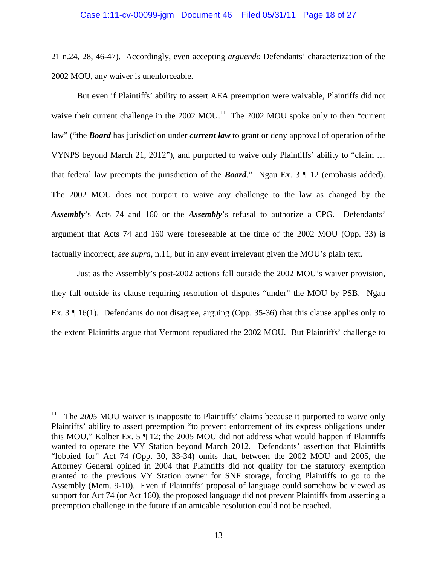### Case 1:11-cv-00099-jgm Document 46 Filed 05/31/11 Page 18 of 27

21 n.24, 28, 46-47). Accordingly, even accepting *arguendo* Defendants' characterization of the 2002 MOU, any waiver is unenforceable.

But even if Plaintiffs' ability to assert AEA preemption were waivable, Plaintiffs did not waive their current challenge in the  $2002 \text{ MOU}$ .<sup>11</sup> The  $2002 \text{ MOU}$  spoke only to then "current" law" ("the *Board* has jurisdiction under *current law* to grant or deny approval of operation of the VYNPS beyond March 21, 2012"), and purported to waive only Plaintiffs' ability to "claim … that federal law preempts the jurisdiction of the *Board*." Ngau Ex. 3 ¶ 12 (emphasis added). The 2002 MOU does not purport to waive any challenge to the law as changed by the *Assembly*'s Acts 74 and 160 or the *Assembly*'s refusal to authorize a CPG. Defendants' argument that Acts 74 and 160 were foreseeable at the time of the 2002 MOU (Opp. 33) is factually incorrect, *see supra*, n.11, but in any event irrelevant given the MOU's plain text.

Just as the Assembly's post-2002 actions fall outside the 2002 MOU's waiver provision, they fall outside its clause requiring resolution of disputes "under" the MOU by PSB. Ngau Ex. 3  $\parallel$  16(1). Defendants do not disagree, arguing (Opp. 35-36) that this clause applies only to the extent Plaintiffs argue that Vermont repudiated the 2002 MOU. But Plaintiffs' challenge to

 $\overline{a}$ 

<sup>&</sup>lt;sup>11</sup> The 2005 MOU waiver is inapposite to Plaintiffs' claims because it purported to waive only Plaintiffs' ability to assert preemption "to prevent enforcement of its express obligations under this MOU," Kolber Ex. 5 ¶ 12; the 2005 MOU did not address what would happen if Plaintiffs wanted to operate the VY Station beyond March 2012. Defendants' assertion that Plaintiffs "lobbied for" Act 74 (Opp. 30, 33-34) omits that, between the 2002 MOU and 2005, the Attorney General opined in 2004 that Plaintiffs did not qualify for the statutory exemption granted to the previous VY Station owner for SNF storage, forcing Plaintiffs to go to the Assembly (Mem. 9-10). Even if Plaintiffs' proposal of language could somehow be viewed as support for Act 74 (or Act 160), the proposed language did not prevent Plaintiffs from asserting a preemption challenge in the future if an amicable resolution could not be reached.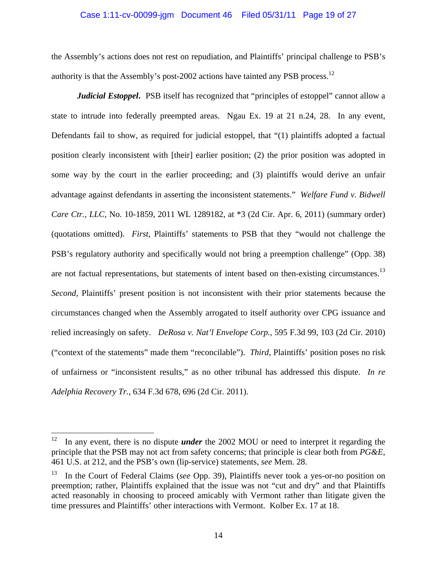### Case 1:11-cv-00099-jgm Document 46 Filed 05/31/11 Page 19 of 27

the Assembly's actions does not rest on repudiation, and Plaintiffs' principal challenge to PSB's authority is that the Assembly's post-2002 actions have tainted any PSB process.<sup>12</sup>

*Judicial Estoppel*. PSB itself has recognized that "principles of estoppel" cannot allow a state to intrude into federally preempted areas. Ngau Ex. 19 at 21 n.24, 28. In any event, Defendants fail to show, as required for judicial estoppel, that "(1) plaintiffs adopted a factual position clearly inconsistent with [their] earlier position; (2) the prior position was adopted in some way by the court in the earlier proceeding; and (3) plaintiffs would derive an unfair advantage against defendants in asserting the inconsistent statements." *Welfare Fund v. Bidwell Care Ctr., LLC*, No. 10-1859, 2011 WL 1289182, at \*3 (2d Cir. Apr. 6, 2011) (summary order) (quotations omitted). *First*, Plaintiffs' statements to PSB that they "would not challenge the PSB's regulatory authority and specifically would not bring a preemption challenge" (Opp. 38) are not factual representations, but statements of intent based on then-existing circumstances.<sup>13</sup> *Second*, Plaintiffs' present position is not inconsistent with their prior statements because the circumstances changed when the Assembly arrogated to itself authority over CPG issuance and relied increasingly on safety. *DeRosa v. Nat'l Envelope Corp.*, 595 F.3d 99, 103 (2d Cir. 2010) ("context of the statements" made them "reconcilable"). *Third*, Plaintiffs' position poses no risk of unfairness or "inconsistent results," as no other tribunal has addressed this dispute. *In re Adelphia Recovery Tr.*, 634 F.3d 678, 696 (2d Cir. 2011).

<sup>&</sup>lt;sup>12</sup> In any event, there is no dispute *under* the 2002 MOU or need to interpret it regarding the principle that the PSB may not act from safety concerns; that principle is clear both from *PG&E*, 461 U.S. at 212, and the PSB's own (lip-service) statements, *see* Mem. 28.

<sup>13</sup> In the Court of Federal Claims (*see* Opp. 39), Plaintiffs never took a yes-or-no position on preemption; rather, Plaintiffs explained that the issue was not "cut and dry" and that Plaintiffs acted reasonably in choosing to proceed amicably with Vermont rather than litigate given the time pressures and Plaintiffs' other interactions with Vermont. Kolber Ex. 17 at 18.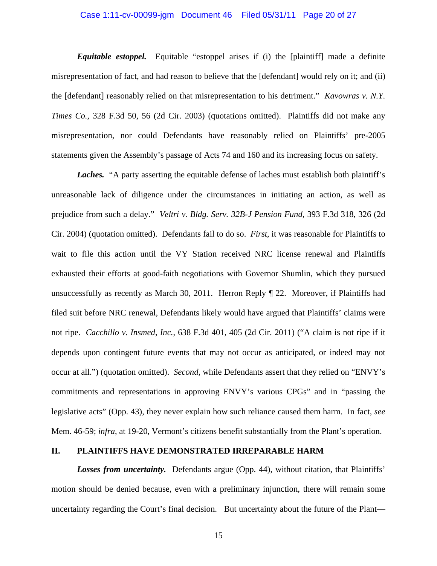# Case 1:11-cv-00099-jgm Document 46 Filed 05/31/11 Page 20 of 27

*Equitable estoppel.* Equitable "estoppel arises if (i) the [plaintiff] made a definite misrepresentation of fact, and had reason to believe that the [defendant] would rely on it; and (ii) the [defendant] reasonably relied on that misrepresentation to his detriment." *Kavowras v. N.Y. Times Co.*, 328 F.3d 50, 56 (2d Cir. 2003) (quotations omitted). Plaintiffs did not make any misrepresentation, nor could Defendants have reasonably relied on Plaintiffs' pre-2005 statements given the Assembly's passage of Acts 74 and 160 and its increasing focus on safety.

*Laches.* "A party asserting the equitable defense of laches must establish both plaintiff's unreasonable lack of diligence under the circumstances in initiating an action, as well as prejudice from such a delay." *Veltri v. Bldg. Serv. 32B-J Pension Fund*, 393 F.3d 318, 326 (2d Cir. 2004) (quotation omitted). Defendants fail to do so. *First*, it was reasonable for Plaintiffs to wait to file this action until the VY Station received NRC license renewal and Plaintiffs exhausted their efforts at good-faith negotiations with Governor Shumlin, which they pursued unsuccessfully as recently as March 30, 2011. Herron Reply ¶ 22. Moreover, if Plaintiffs had filed suit before NRC renewal, Defendants likely would have argued that Plaintiffs' claims were not ripe. *Cacchillo v. Insmed, Inc.*, 638 F.3d 401, 405 (2d Cir. 2011) ("A claim is not ripe if it depends upon contingent future events that may not occur as anticipated, or indeed may not occur at all.") (quotation omitted). *Second*, while Defendants assert that they relied on "ENVY's commitments and representations in approving ENVY's various CPGs" and in "passing the legislative acts" (Opp. 43), they never explain how such reliance caused them harm. In fact, *see* Mem. 46-59; *infra*, at 19-20, Vermont's citizens benefit substantially from the Plant's operation.

### **II. PLAINTIFFS HAVE DEMONSTRATED IRREPARABLE HARM**

*Losses from uncertainty.* Defendants argue (Opp. 44), without citation, that Plaintiffs' motion should be denied because, even with a preliminary injunction, there will remain some uncertainty regarding the Court's final decision. But uncertainty about the future of the Plant—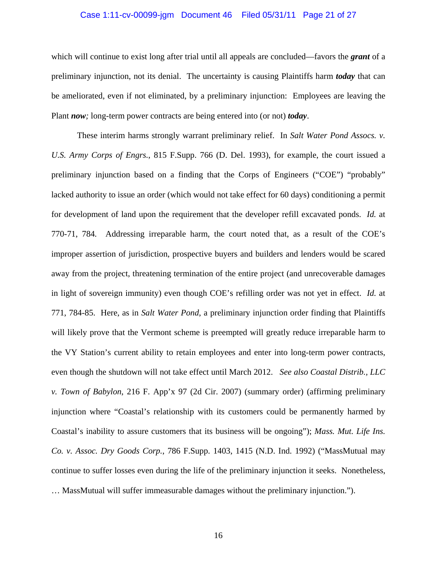### Case 1:11-cv-00099-jgm Document 46 Filed 05/31/11 Page 21 of 27

which will continue to exist long after trial until all appeals are concluded—favors the *grant* of a preliminary injunction, not its denial. The uncertainty is causing Plaintiffs harm *today* that can be ameliorated, even if not eliminated, by a preliminary injunction: Employees are leaving the Plant *now;* long-term power contracts are being entered into (or not) *today*.

These interim harms strongly warrant preliminary relief. In *Salt Water Pond Assocs. v. U.S. Army Corps of Engrs.*, 815 F.Supp. 766 (D. Del. 1993), for example, the court issued a preliminary injunction based on a finding that the Corps of Engineers ("COE") "probably" lacked authority to issue an order (which would not take effect for 60 days) conditioning a permit for development of land upon the requirement that the developer refill excavated ponds. *Id.* at 770-71, 784*.* Addressing irreparable harm, the court noted that, as a result of the COE's improper assertion of jurisdiction, prospective buyers and builders and lenders would be scared away from the project, threatening termination of the entire project (and unrecoverable damages in light of sovereign immunity) even though COE's refilling order was not yet in effect. *Id.* at 771, 784-85. Here, as in *Salt Water Pond*, a preliminary injunction order finding that Plaintiffs will likely prove that the Vermont scheme is preempted will greatly reduce irreparable harm to the VY Station's current ability to retain employees and enter into long-term power contracts, even though the shutdown will not take effect until March 2012. *See also Coastal Distrib., LLC v. Town of Babylon*, 216 F. App'x 97 (2d Cir. 2007) (summary order) (affirming preliminary injunction where "Coastal's relationship with its customers could be permanently harmed by Coastal's inability to assure customers that its business will be ongoing"); *Mass. Mut. Life Ins. Co. v. Assoc. Dry Goods Corp.*, 786 F.Supp. 1403, 1415 (N.D. Ind. 1992) ("MassMutual may continue to suffer losses even during the life of the preliminary injunction it seeks. Nonetheless, … MassMutual will suffer immeasurable damages without the preliminary injunction.").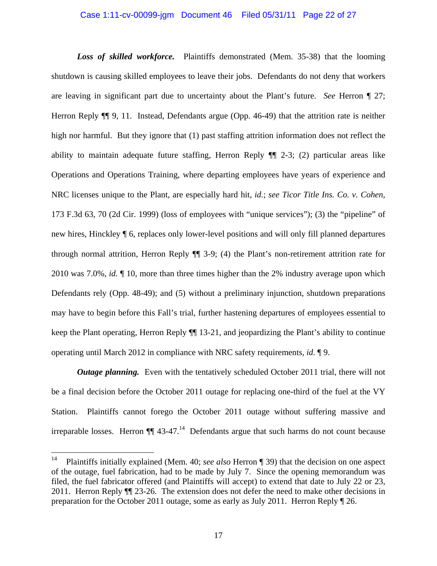### Case 1:11-cv-00099-jgm Document 46 Filed 05/31/11 Page 22 of 27

*Loss of skilled workforce.* Plaintiffs demonstrated (Mem. 35-38) that the looming shutdown is causing skilled employees to leave their jobs. Defendants do not deny that workers are leaving in significant part due to uncertainty about the Plant's future. *See* Herron ¶ 27; Herron Reply  $\P$  9, 11. Instead, Defendants argue (Opp. 46-49) that the attrition rate is neither high nor harmful. But they ignore that (1) past staffing attrition information does not reflect the ability to maintain adequate future staffing, Herron Reply ¶¶ 2-3; (2) particular areas like Operations and Operations Training, where departing employees have years of experience and NRC licenses unique to the Plant, are especially hard hit, *id.*; *see Ticor Title Ins. Co. v. Cohen*, 173 F.3d 63, 70 (2d Cir. 1999) (loss of employees with "unique services"); (3) the "pipeline" of new hires, Hinckley ¶ 6, replaces only lower-level positions and will only fill planned departures through normal attrition, Herron Reply ¶¶ 3-9; (4) the Plant's non-retirement attrition rate for 2010 was 7.0%, *id.* ¶ 10, more than three times higher than the 2% industry average upon which Defendants rely (Opp. 48-49); and (5) without a preliminary injunction, shutdown preparations may have to begin before this Fall's trial, further hastening departures of employees essential to keep the Plant operating, Herron Reply ¶¶ 13-21, and jeopardizing the Plant's ability to continue operating until March 2012 in compliance with NRC safety requirements, *id.* ¶ 9.

*Outage planning.* Even with the tentatively scheduled October 2011 trial, there will not be a final decision before the October 2011 outage for replacing one-third of the fuel at the VY Station. Plaintiffs cannot forego the October 2011 outage without suffering massive and irreparable losses. Herron  $\P\P$  43-47.<sup>14</sup> Defendants argue that such harms do not count because

 $14\,$ 14 Plaintiffs initially explained (Mem. 40; *see also* Herron ¶ 39) that the decision on one aspect of the outage, fuel fabrication, had to be made by July 7. Since the opening memorandum was filed, the fuel fabricator offered (and Plaintiffs will accept) to extend that date to July 22 or 23, 2011. Herron Reply ¶¶ 23-26. The extension does not defer the need to make other decisions in preparation for the October 2011 outage, some as early as July 2011. Herron Reply ¶ 26.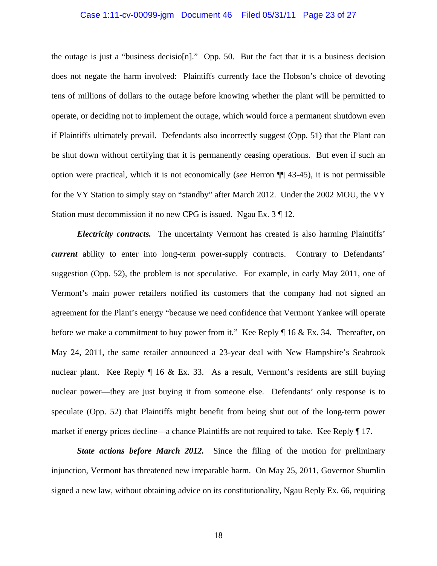# Case 1:11-cv-00099-jgm Document 46 Filed 05/31/11 Page 23 of 27

the outage is just a "business decisio[n]." Opp. 50. But the fact that it is a business decision does not negate the harm involved: Plaintiffs currently face the Hobson's choice of devoting tens of millions of dollars to the outage before knowing whether the plant will be permitted to operate, or deciding not to implement the outage, which would force a permanent shutdown even if Plaintiffs ultimately prevail. Defendants also incorrectly suggest (Opp. 51) that the Plant can be shut down without certifying that it is permanently ceasing operations. But even if such an option were practical, which it is not economically (*see* Herron ¶¶ 43-45), it is not permissible for the VY Station to simply stay on "standby" after March 2012. Under the 2002 MOU, the VY Station must decommission if no new CPG is issued. Ngau Ex. 3 ¶ 12.

*Electricity contracts.* The uncertainty Vermont has created is also harming Plaintiffs' *current* ability to enter into long-term power-supply contracts. Contrary to Defendants' suggestion (Opp. 52), the problem is not speculative. For example, in early May 2011, one of Vermont's main power retailers notified its customers that the company had not signed an agreement for the Plant's energy "because we need confidence that Vermont Yankee will operate before we make a commitment to buy power from it*.*" Kee Reply ¶ 16 & Ex. 34.Thereafter, on May 24, 2011, the same retailer announced a 23-year deal with New Hampshire's Seabrook nuclear plant. Kee Reply ¶ 16 & Ex. 33.As a result, Vermont's residents are still buying nuclear power—they are just buying it from someone else. Defendants' only response is to speculate (Opp. 52) that Plaintiffs might benefit from being shut out of the long-term power market if energy prices decline—a chance Plaintiffs are not required to take. Kee Reply ¶ 17.

*State actions before March 2012.* Since the filing of the motion for preliminary injunction, Vermont has threatened new irreparable harm. On May 25, 2011, Governor Shumlin signed a new law, without obtaining advice on its constitutionality, Ngau Reply Ex. 66, requiring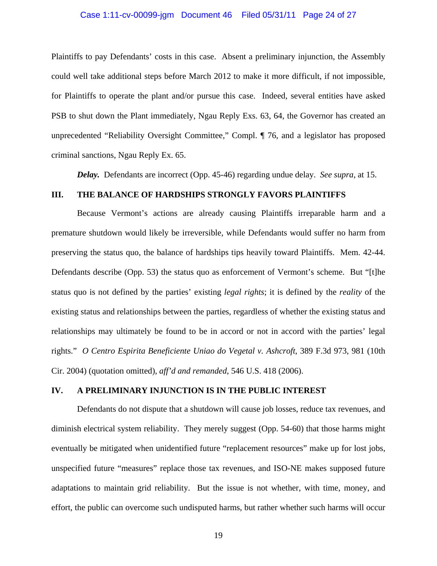# Case 1:11-cv-00099-jgm Document 46 Filed 05/31/11 Page 24 of 27

Plaintiffs to pay Defendants' costs in this case. Absent a preliminary injunction, the Assembly could well take additional steps before March 2012 to make it more difficult, if not impossible, for Plaintiffs to operate the plant and/or pursue this case. Indeed, several entities have asked PSB to shut down the Plant immediately, Ngau Reply Exs. 63, 64, the Governor has created an unprecedented "Reliability Oversight Committee," Compl. ¶ 76, and a legislator has proposed criminal sanctions, Ngau Reply Ex. 65.

*Delay.* Defendants are incorrect (Opp. 45-46) regarding undue delay. *See supra*, at 15.

# **III. THE BALANCE OF HARDSHIPS STRONGLY FAVORS PLAINTIFFS**

Because Vermont's actions are already causing Plaintiffs irreparable harm and a premature shutdown would likely be irreversible, while Defendants would suffer no harm from preserving the status quo, the balance of hardships tips heavily toward Plaintiffs. Mem. 42-44. Defendants describe (Opp. 53) the status quo as enforcement of Vermont's scheme. But "[t]he status quo is not defined by the parties' existing *legal rights*; it is defined by the *reality* of the existing status and relationships between the parties, regardless of whether the existing status and relationships may ultimately be found to be in accord or not in accord with the parties' legal rights." *O Centro Espirita Beneficiente Uniao do Vegetal v. Ashcroft*, 389 F.3d 973, 981 (10th Cir. 2004) (quotation omitted), *aff'd and remanded*, 546 U.S. 418 (2006).

### **IV. A PRELIMINARY INJUNCTION IS IN THE PUBLIC INTEREST**

Defendants do not dispute that a shutdown will cause job losses, reduce tax revenues, and diminish electrical system reliability. They merely suggest (Opp. 54-60) that those harms might eventually be mitigated when unidentified future "replacement resources" make up for lost jobs, unspecified future "measures" replace those tax revenues, and ISO-NE makes supposed future adaptations to maintain grid reliability. But the issue is not whether, with time, money, and effort, the public can overcome such undisputed harms, but rather whether such harms will occur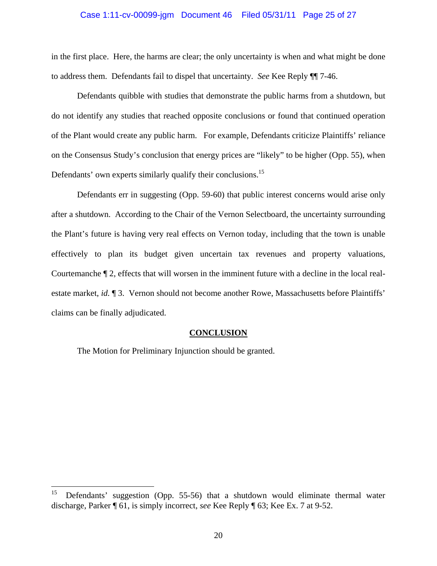### Case 1:11-cv-00099-jgm Document 46 Filed 05/31/11 Page 25 of 27

in the first place. Here, the harms are clear; the only uncertainty is when and what might be done to address them. Defendants fail to dispel that uncertainty. *See* Kee Reply ¶¶ 7-46.

Defendants quibble with studies that demonstrate the public harms from a shutdown, but do not identify any studies that reached opposite conclusions or found that continued operation of the Plant would create any public harm. For example, Defendants criticize Plaintiffs' reliance on the Consensus Study's conclusion that energy prices are "likely" to be higher (Opp. 55), when Defendants' own experts similarly qualify their conclusions.<sup>15</sup>

Defendants err in suggesting (Opp. 59-60) that public interest concerns would arise only after a shutdown. According to the Chair of the Vernon Selectboard, the uncertainty surrounding the Plant's future is having very real effects on Vernon today, including that the town is unable effectively to plan its budget given uncertain tax revenues and property valuations, Courtemanche ¶ 2, effects that will worsen in the imminent future with a decline in the local realestate market, *id.* ¶ 3. Vernon should not become another Rowe, Massachusetts before Plaintiffs' claims can be finally adjudicated.

### **CONCLUSION**

The Motion for Preliminary Injunction should be granted.

<sup>15</sup> Defendants' suggestion (Opp. 55-56) that a shutdown would eliminate thermal water discharge, Parker ¶ 61, is simply incorrect, *see* Kee Reply ¶ 63; Kee Ex. 7 at 9-52.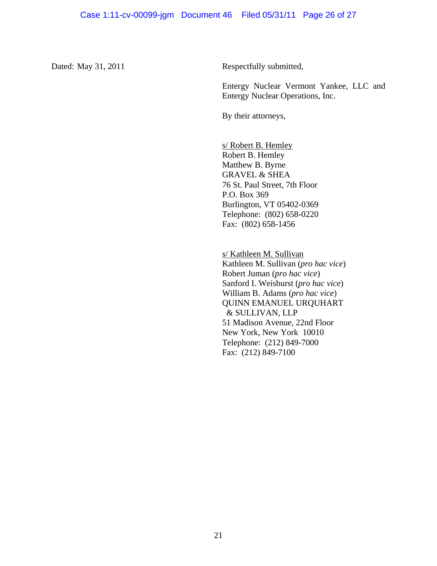Dated: May 31, 2011 Respectfully submitted,

Entergy Nuclear Vermont Yankee, LLC and Entergy Nuclear Operations, Inc.

By their attorneys,

s/ Robert B. Hemley Robert B. Hemley Matthew B. Byrne GRAVEL & SHEA 76 St. Paul Street, 7th Floor P.O. Box 369 Burlington, VT 05402-0369 Telephone: (802) 658-0220 Fax: (802) 658-1456

s/ Kathleen M. Sullivan Kathleen M. Sullivan (*pro hac vice*) Robert Juman (*pro hac vice*) Sanford I. Weisburst (*pro hac vice*) William B. Adams (*pro hac vice*) QUINN EMANUEL URQUHART & SULLIVAN, LLP 51 Madison Avenue, 22nd Floor New York, New York 10010 Telephone: (212) 849-7000 Fax: (212) 849-7100